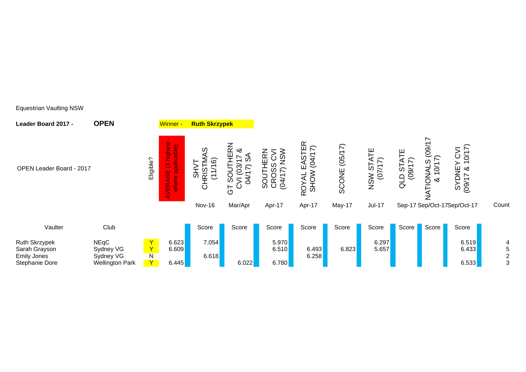| Leader Board 2017 -                                                           | <b>OPEN</b>                                                     |                                                  | Winner -                                                                                                   | <b>Ruth Skrzypek</b>                |                                                                                      |                                             |                                                  |                  |                                |                            |                                       |                                                                                                          |       |
|-------------------------------------------------------------------------------|-----------------------------------------------------------------|--------------------------------------------------|------------------------------------------------------------------------------------------------------------|-------------------------------------|--------------------------------------------------------------------------------------|---------------------------------------------|--------------------------------------------------|------------------|--------------------------------|----------------------------|---------------------------------------|----------------------------------------------------------------------------------------------------------|-------|
| OPEN Leader Board - 2017                                                      |                                                                 | Eligible?                                        | سيد<br>in.<br>highes<br>applicable<br>$\mathbf{C}$<br>ш<br>O<br>$\underline{\mathbf{e}}$<br>$\bullet$<br>岛 | w<br>බ<br>$\overline{ }$<br>$\circ$ | <b>IERN</b><br>య<br>ഗ<br>↶<br>ო<br>_<br>თ<br>2<br>⋗<br>$\mathbf C$<br>$\overline{5}$ | $rac{5}{5}$<br>쁮<br>U.<br><b><u>OGG</u></b> | EASTER<br>(04/17)<br><b>SHOW</b><br><b>ROYAL</b> | (05/17)<br>SCONE | 巴<br>(7/17)<br><b>S</b><br>NSW | LD STATE<br>(09/17)<br>QLD | ∼<br>TIONALS (09/17)<br>& 10/17)<br>ミ | Y CVI<br>10/17<br>NEY<br>7 & 1<br>$\overline{\phantom{0}}$<br>$\supset$<br>$\overline{ }$<br>/60)<br>IXS |       |
|                                                                               |                                                                 |                                                  |                                                                                                            | Nov-16                              | Mar/Apr                                                                              | Apr-17                                      | Apr-17                                           | May-17           | <b>Jul-17</b>                  |                            |                                       | Sep-17 Sep/Oct-17Sep/Oct-17                                                                              | Count |
| Vaulter                                                                       | Club                                                            |                                                  |                                                                                                            | Score                               | Score                                                                                | Score                                       | Score                                            | Score            | Score                          | Score                      | Score                                 | Score                                                                                                    |       |
| <b>Ruth Skrzypek</b><br>Sarah Grayson<br><b>Emily Jones</b><br>Stephanie Dore | <b>NEqC</b><br>Sydney VG<br>Sydney VG<br><b>Wellington Park</b> | $\mathbf Y$<br>Y<br>$\overline{\mathsf{N}}$<br>Y | 6.623<br>6.609<br>6.445                                                                                    | 7.054<br>6.618                      | 6.022                                                                                | 5.970<br>6.510<br>6.780                     | 6.493<br>6.258                                   | 6.823            | 6.297<br>5.657                 |                            |                                       | 6.519<br>6.433<br>6.533                                                                                  | 5     |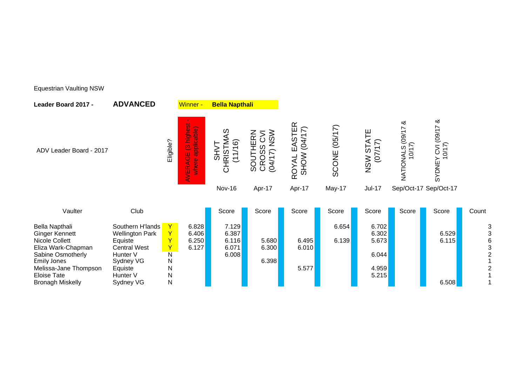|                                                                                                                                         | Eligible?                                                                                                                | <b>bs</b><br>applicable)<br><u>ة</u><br>ا<br>O<br>ш<br>Q<br>where<br>띲<br>$\Rightarrow$ | S<br>$\widetilde{6}$<br>こう<br>$rac{S}{R}$<br>(11)<br>$\overline{\Omega}$ | NSW<br>SOUTHERN<br>⋝<br>$\mathcal{O}$<br>တွ<br>$\widehat{\lambda}$<br>CRO.<br>$\overline{\phantom{0}}$<br>$\widetilde{q}$ | EASTER<br>$\widehat{\kappa}$<br>(04/1)<br><b>SHOW</b><br>ROYAL | (05/17)<br>SCONE | ш<br>5<br>(07/1)<br>NSW                            | ∞ర<br>11/60<br>10/17<br>NATIONALS | ళ<br><b>CVI (09/17</b><br>0/17<br>SYDNEY |                                                                                  |
|-----------------------------------------------------------------------------------------------------------------------------------------|--------------------------------------------------------------------------------------------------------------------------|-----------------------------------------------------------------------------------------|--------------------------------------------------------------------------|---------------------------------------------------------------------------------------------------------------------------|----------------------------------------------------------------|------------------|----------------------------------------------------|-----------------------------------|------------------------------------------|----------------------------------------------------------------------------------|
|                                                                                                                                         |                                                                                                                          |                                                                                         | Nov-16                                                                   | Apr-17                                                                                                                    | Apr-17                                                         | May-17           | <b>Jul-17</b>                                      |                                   |                                          |                                                                                  |
| Club                                                                                                                                    |                                                                                                                          |                                                                                         | Score                                                                    | Score                                                                                                                     | Score                                                          | Score            | Score                                              | Score                             | Score                                    | Count                                                                            |
| Southern H'lands<br><b>Wellington Park</b><br>Equiste<br><b>Central West</b><br>Hunter <sub>V</sub><br>Sydney VG<br>Equiste<br>Hunter V | $\mathsf{Y}^{\top}$<br>$\mathsf{Y}$<br>Y<br>Y<br>$\overline{\mathsf{N}}$<br>$\mathsf{N}$<br>$\mathsf{N}$<br>$\mathsf{N}$ | 6.828<br>6.406<br>6.250<br>6.127                                                        | 7.129<br>6.387<br>6.116<br>6.071<br>6.008                                | 5.680<br>6.300<br>6.398                                                                                                   | 6.495<br>6.010<br>5.577                                        | 6.654<br>6.139   | 6.702<br>6.302<br>5.673<br>6.044<br>4.959<br>5.215 |                                   | 6.529<br>6.115                           | $\frac{3}{3}$<br>$\, 6$<br>3<br>$\overline{2}$<br>$\mathbf{1}$<br>$\overline{c}$ |
|                                                                                                                                         |                                                                                                                          |                                                                                         |                                                                          |                                                                                                                           |                                                                |                  |                                                    |                                   |                                          | Sep/Oct-17 Sep/Oct-17<br>$\overline{\mathsf{N}}$<br>Sydney VG<br>6.508           |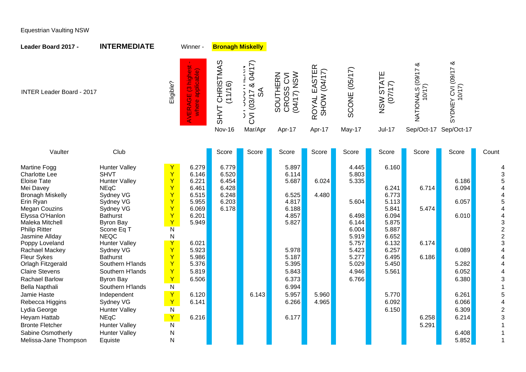| Leader Board 2017 -                                                                                                                                                                                                                                                                                                                                             | <b>INTERMEDIATE</b>                                                                                                                                                                                                                                                                                       |                                                                                                                                                                                                                                                      | Winner -                                                                                                                            | <b>Bronagh Miskelly</b>                                     |                                                                                |                                                                                                                   |                              |                                                                                                                            |                                                                                                                            |                                  |                                                                      |                                                                                                                                          |
|-----------------------------------------------------------------------------------------------------------------------------------------------------------------------------------------------------------------------------------------------------------------------------------------------------------------------------------------------------------------|-----------------------------------------------------------------------------------------------------------------------------------------------------------------------------------------------------------------------------------------------------------------------------------------------------------|------------------------------------------------------------------------------------------------------------------------------------------------------------------------------------------------------------------------------------------------------|-------------------------------------------------------------------------------------------------------------------------------------|-------------------------------------------------------------|--------------------------------------------------------------------------------|-------------------------------------------------------------------------------------------------------------------|------------------------------|----------------------------------------------------------------------------------------------------------------------------|----------------------------------------------------------------------------------------------------------------------------|----------------------------------|----------------------------------------------------------------------|------------------------------------------------------------------------------------------------------------------------------------------|
| <b>INTER Leader Board - 2017</b>                                                                                                                                                                                                                                                                                                                                |                                                                                                                                                                                                                                                                                                           | Eligible?                                                                                                                                                                                                                                            | (3 highest<br>applicable)<br>AVERAGE<br>where                                                                                       | CHRISTMAS<br>(11/16)<br><b>SHVT</b>                         | 04/17)<br>య<br>న్<br>$\overline{\phantom{0}}$<br>(03/1)<br>$\overline{\delta}$ | (04/17) NSW<br>CROSS CVI<br>SOUTHERN                                                                              | ROYAL EASTER<br>SHOW (04/17) | <b>SCONE (05/17)</b>                                                                                                       | NSW STATE<br>(7/17)                                                                                                        | ళ<br>71/60<br>10/17<br>NATIONALS | SYDNEY CVI (09/17 &<br>10/17                                         |                                                                                                                                          |
|                                                                                                                                                                                                                                                                                                                                                                 |                                                                                                                                                                                                                                                                                                           |                                                                                                                                                                                                                                                      |                                                                                                                                     | Nov-16                                                      | Mar/Apr                                                                        | Apr-17                                                                                                            | Apr-17                       | May-17                                                                                                                     | <b>Jul-17</b>                                                                                                              | Sep/Oct-17 Sep/Oct-17            |                                                                      |                                                                                                                                          |
|                                                                                                                                                                                                                                                                                                                                                                 |                                                                                                                                                                                                                                                                                                           |                                                                                                                                                                                                                                                      |                                                                                                                                     |                                                             |                                                                                |                                                                                                                   |                              |                                                                                                                            |                                                                                                                            |                                  |                                                                      |                                                                                                                                          |
| Vaulter                                                                                                                                                                                                                                                                                                                                                         | Club                                                                                                                                                                                                                                                                                                      |                                                                                                                                                                                                                                                      |                                                                                                                                     | Score                                                       | Score                                                                          | Score                                                                                                             | Score                        | Score                                                                                                                      | Score                                                                                                                      | Score                            | Score                                                                | Count                                                                                                                                    |
| <b>Martine Fogg</b><br><b>Charlotte Lee</b><br><b>Eloise Tate</b><br>Mei Davey<br><b>Bronagh Miskelly</b><br>Erin Ryan<br><b>Megan Couzins</b><br>Elyssa O'Hanlon<br>Maleka Mitchell<br><b>Philip Ritter</b><br>Jasmine Allday<br>Poppy Loveland<br>Rachael Mackey<br><b>Fleur Sykes</b><br>Orlagh Fitzgerald<br><b>Claire Stevens</b><br><b>Rachael Barlow</b> | <b>Hunter Valley</b><br><b>SHVT</b><br><b>Hunter Valley</b><br><b>NEqC</b><br>Sydney VG<br>Sydney VG<br>Sydney VG<br><b>Bathurst</b><br><b>Byron Bay</b><br>Scone Eq T<br><b>NEQC</b><br><b>Hunter Valley</b><br>Sydney VG<br><b>Bathurst</b><br>Southern H'lands<br>Southern H'lands<br><b>Byron Bay</b> | Y<br>$\mathsf{Y}$<br>$\mathbf Y$<br>$\overline{Y}$<br>$\mathsf{Y}$<br>$\overline{Y}$<br>Ÿ<br>$\mathbf Y$<br>$\mathsf{Y}$<br>$\overline{\mathsf{N}}$<br>${\sf N}$<br>Y<br>$\mathsf{Y}$<br>$\mathbf Y$<br>$\mathbf Y$<br>$\overline{Y}$<br>$\mathbf Y$ | 6.279<br>6.146<br>6.221<br>6.461<br>6.515<br>5.955<br>6.069<br>6.201<br>5.949<br>6.021<br>5.923<br>5.986<br>5.376<br>5.819<br>6.506 | 6.779<br>6.520<br>6.454<br>6.428<br>6.248<br>6.203<br>6.178 |                                                                                | 5.897<br>6.114<br>5.687<br>6.525<br>4.817<br>6.188<br>4.857<br>5.827<br>5.978<br>5.187<br>5.395<br>5.843<br>6.373 | 6.024<br>4.480               | 4.445<br>5.803<br>5.335<br>5.604<br>6.498<br>6.144<br>6.004<br>5.919<br>5.757<br>5.423<br>5.277<br>5.029<br>4.946<br>6.766 | 6.160<br>6.241<br>6.773<br>5.113<br>5.841<br>6.094<br>5.875<br>5.887<br>6.652<br>6.132<br>6.257<br>6.495<br>5.450<br>5.561 | 6.714<br>5.474<br>6.174<br>6.186 | 6.186<br>6.094<br>6.057<br>6.010<br>6.089<br>5.282<br>6.052<br>6.380 | 3<br>5<br>$\overline{4}$<br>5<br>$\overline{A}$<br>4<br>$\begin{array}{c} 3 \\ 2 \\ 2 \end{array}$<br>3<br>4<br>$\overline{A}$<br>4<br>3 |
| <b>Bella Napthali</b><br>Jamie Haste                                                                                                                                                                                                                                                                                                                            | Southern H'lands<br>Independent                                                                                                                                                                                                                                                                           | ${\sf N}$<br>$\mathbf{Y}$                                                                                                                                                                                                                            | 6.120                                                                                                                               |                                                             | 6.143                                                                          | 6.994<br>5.957                                                                                                    | 5.960                        |                                                                                                                            | 5.770                                                                                                                      |                                  | 6.261                                                                | $\overline{1}$<br>5                                                                                                                      |
| Rebecca Higgins                                                                                                                                                                                                                                                                                                                                                 | Sydney VG                                                                                                                                                                                                                                                                                                 | $\mathbf{Y}$                                                                                                                                                                                                                                         | 6.141                                                                                                                               |                                                             |                                                                                | 6.266                                                                                                             | 4.965                        |                                                                                                                            | 6.092                                                                                                                      |                                  | 6.066                                                                | 4                                                                                                                                        |
| Lydia George                                                                                                                                                                                                                                                                                                                                                    | <b>Hunter Valley</b>                                                                                                                                                                                                                                                                                      | $\overline{N}$                                                                                                                                                                                                                                       |                                                                                                                                     |                                                             |                                                                                |                                                                                                                   |                              |                                                                                                                            | 6.150                                                                                                                      |                                  | 6.309                                                                | $\overline{2}$                                                                                                                           |
| Heyam Hattab                                                                                                                                                                                                                                                                                                                                                    | <b>NEqC</b>                                                                                                                                                                                                                                                                                               | $\mathbf{Y}$                                                                                                                                                                                                                                         | 6.216                                                                                                                               |                                                             |                                                                                | 6.177                                                                                                             |                              |                                                                                                                            |                                                                                                                            | 6.258                            | 6.214                                                                | 3                                                                                                                                        |
| <b>Bronte Fletcher</b>                                                                                                                                                                                                                                                                                                                                          | <b>Hunter Valley</b>                                                                                                                                                                                                                                                                                      | $\overline{N}$                                                                                                                                                                                                                                       |                                                                                                                                     |                                                             |                                                                                |                                                                                                                   |                              |                                                                                                                            |                                                                                                                            | 5.291                            |                                                                      |                                                                                                                                          |
| Sabine Osmotherly<br>Melissa-Jane Thompson                                                                                                                                                                                                                                                                                                                      | <b>Hunter Valley</b><br>Equiste                                                                                                                                                                                                                                                                           | $\mathsf{N}$<br>N                                                                                                                                                                                                                                    |                                                                                                                                     |                                                             |                                                                                |                                                                                                                   |                              |                                                                                                                            |                                                                                                                            |                                  | 6.408<br>5.852                                                       | -1                                                                                                                                       |
|                                                                                                                                                                                                                                                                                                                                                                 |                                                                                                                                                                                                                                                                                                           |                                                                                                                                                                                                                                                      |                                                                                                                                     |                                                             |                                                                                |                                                                                                                   |                              |                                                                                                                            |                                                                                                                            |                                  |                                                                      |                                                                                                                                          |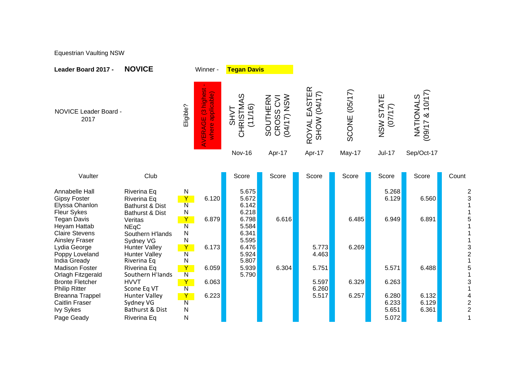| <b>NOVICE</b>                                               |                                                            |                                             |                                      |                                         |                                        |                      |                         |                                 |                |
|-------------------------------------------------------------|------------------------------------------------------------|---------------------------------------------|--------------------------------------|-----------------------------------------|----------------------------------------|----------------------|-------------------------|---------------------------------|----------------|
| <b>NOVICE Leader Board -</b>                                | Eligible?                                                  | highest<br>where applicable)<br>O<br>VERAGE | S<br>⋖<br>CHRISTM<br>(11/16)<br>TVHS | NSW<br>SOUTHERN<br>CROSS CVI<br>(04/17) | EASTER<br>SHOW (04/17)<br><b>ROYAL</b> | <b>SCONE (05/17)</b> | NSW STATE<br>(77/17)    | & 10/17<br>NATIONALS<br>(09/17) |                |
|                                                             |                                                            |                                             | Nov-16                               | Apr-17                                  | Apr-17                                 | May-17               | <b>Jul-17</b>           | Sep/Oct-17                      |                |
| Club                                                        |                                                            |                                             | Score                                | Score                                   | Score                                  | Score                | Score                   | Score                           | Count          |
| Riverina Eq<br>Riverina Eq<br>Bathurst & Dist               | N<br>Y<br>$\overline{\mathsf{N}}$                          | 6.120                                       | 5.675<br>5.672<br>6.142              |                                         |                                        |                      | 5.268<br>6.129          | 6.560                           |                |
| Veritas<br><b>NEqC</b><br>Southern H'lands                  | Y<br>$\overline{\mathsf{N}}$<br>N                          | 6.879                                       | 6.798<br>5.584<br>6.341              | 6.616                                   |                                        | 6.485                | 6.949                   | 6.891                           |                |
| <b>Hunter Valley</b><br><b>Hunter Valley</b><br>Riverina Eq | Y<br>$\overline{\mathsf{N}}$<br>N                          | 6.173                                       | 6.476<br>5.924<br>5.807              |                                         | 5.773<br>4.463                         | 6.269                |                         |                                 |                |
| Riverina Eq<br>Southern H'lands<br><b>HVVT</b>              | Y<br>$\overline{\mathsf{N}}$<br>Y                          | 6.059<br>6.063                              | 5.939<br>5.790                       | 6.304                                   | 5.751<br>5.597                         | 6.329                | 5.571<br>6.263          | 6.488                           | 3              |
| <b>Hunter Valley</b><br>Sydney VG<br>Bathurst & Dist        | Y<br>$\overline{\mathsf{N}}$<br>N                          | 6.223                                       |                                      |                                         | 5.517                                  | 6.257                | 6.280<br>6.233<br>5.651 | 6.132<br>6.129<br>6.361         | $\overline{c}$ |
|                                                             | Bathurst & Dist<br>Sydney VG<br>Scone Eq VT<br>Riverina Eq | N<br>N<br>$\overline{\mathsf{N}}$<br>N      | Winner -                             | 6.218<br>5.595                          | <b>Tegan Davis</b>                     | 6.260                |                         | 5.072                           |                |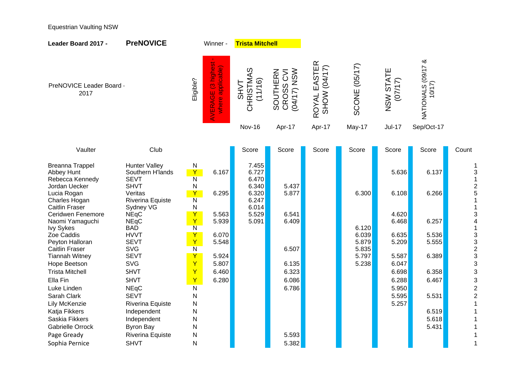| Leader Board 2017 -                                                    | <b>PreNOVICE</b>                                        |                                                   | Winner -                                    | <b>Trista Mitchell</b>              |                                             |                              |                         |                      |                             |                                                     |
|------------------------------------------------------------------------|---------------------------------------------------------|---------------------------------------------------|---------------------------------------------|-------------------------------------|---------------------------------------------|------------------------------|-------------------------|----------------------|-----------------------------|-----------------------------------------------------|
| PreNOVICE Leader Board -<br>2017                                       |                                                         | Eligible?                                         | highest<br>where applicable)<br>O<br>VERAGE | CHRISTMAS<br>(11/16)<br><b>TVHS</b> | <b>MSN (21/40)</b><br>SOUTHERN<br>CROSS CVI | ROYAL EASTER<br>SHOW (04/17) | <b>SCONE (05/17)</b>    | NSW STATE<br>(71/17) | NATIONALS (09/17 &<br>10/17 |                                                     |
|                                                                        |                                                         |                                                   |                                             | Nov-16                              | Apr-17                                      | Apr-17                       | May-17                  | <b>Jul-17</b>        | Sep/Oct-17                  |                                                     |
|                                                                        |                                                         |                                                   |                                             |                                     |                                             |                              |                         |                      |                             |                                                     |
| Vaulter                                                                | Club                                                    |                                                   |                                             | Score                               | Score                                       | Score                        | Score                   | Score                | Score                       | Count                                               |
| <b>Breanna Trappel</b><br>Abbey Hunt<br>Rebecca Kennedy                | <b>Hunter Valley</b><br>Southern H'lands<br><b>SEVT</b> | N<br>$\mathbf Y$<br>$\overline{\mathsf{N}}$       | 6.167                                       | 7.455<br>6.727<br>6.470             |                                             |                              |                         | 5.636                | 6.137                       | 1<br>3<br>$\mathbf{1}$                              |
| Jordan Uecker<br>Lucia Rogan<br>Charles Hogan<br><b>Caitlin Fraser</b> | <b>SHVT</b><br>Veritas<br>Riverina Equiste<br>Sydney VG | N<br>$\mathsf{Y}$<br>$\overline{\mathsf{N}}$<br>N | 6.295                                       | 6.340<br>6.320<br>6.247<br>6.014    | 5.437<br>5.877                              |                              | 6.300                   | 6.108                | 6.266                       | $\overline{c}$<br>5<br>$\mathbf{1}$<br>$\mathbf{1}$ |
| Ceridwen Fenemore<br>Naomi Yamaguchi<br><b>Ivy Sykes</b>               | <b>NEqC</b><br><b>NEqC</b><br><b>BAD</b>                | Y<br>Y<br>$\overline{\mathsf{N}}$                 | 5.563<br>5.939                              | 5.529<br>5.091                      | 6.541<br>6.409                              |                              | 6.120                   | 4.620<br>6.468       | 6.257                       | 3<br>$\overline{\mathbf{4}}$<br>$\mathbf{1}$        |
| Zoe Caddis<br>Peyton Halloran<br><b>Caitlin Fraser</b>                 | <b>HVVT</b><br><b>SEVT</b><br><b>SVG</b>                | Y<br>Y<br>$\overline{\mathsf{N}}$                 | 6.070<br>5.548                              |                                     | 6.507                                       |                              | 6.039<br>5.879<br>5.835 | 6.635<br>5.209       | 5.536<br>5.555              | $\begin{array}{c}\n3 \\ 3 \\ 2 \\ 3\n\end{array}$   |
| <b>Tiannah Witney</b><br>Hope Beetson                                  | <b>SEVT</b><br><b>SVG</b>                               | Y<br>$\overline{Y}$                               | 5.924<br>5.807                              |                                     | 6.135                                       |                              | 5.797<br>5.238          | 5.587<br>6.047       | 6.389                       | 3                                                   |
| <b>Trista Mitchell</b><br>Ella Fin                                     | <b>SHVT</b><br><b>SHVT</b>                              | Y<br>Y                                            | 6.460<br>6.280                              |                                     | 6.323<br>6.086                              |                              |                         | 6.698<br>6.288       | 6.358<br>6.467              | 3                                                   |
| Luke Linden                                                            | <b>NEqC</b>                                             | $\overline{N}$                                    |                                             |                                     | 6.786                                       |                              |                         | 5.950                |                             | 3<br>$\overline{\mathbf{c}}$                        |
| Sarah Clark<br>Lily McKenzie                                           | <b>SEVT</b>                                             | N<br>$\mathsf{N}$                                 |                                             |                                     |                                             |                              |                         | 5.595<br>5.257       | 5.531                       | $\overline{c}$<br>$\mathbf{1}$                      |
| Katja Fikkers                                                          | Riverina Equiste<br>Independent                         | $\mathsf{N}$                                      |                                             |                                     |                                             |                              |                         |                      | 6.519                       | $\mathbf{1}$                                        |
| Saskia Fikkers                                                         | Independent                                             | $\mathsf{N}$                                      |                                             |                                     |                                             |                              |                         |                      | 5.618                       | 1                                                   |
| Gabrielle Orrock                                                       | <b>Byron Bay</b>                                        | N                                                 |                                             |                                     |                                             |                              |                         |                      | 5.431                       | $\mathbf{1}$                                        |
| Page Gready                                                            | Riverina Equiste                                        | N                                                 |                                             |                                     | 5.593                                       |                              |                         |                      |                             | $\mathbf{1}$                                        |
| Sophia Pernice                                                         | <b>SHVT</b>                                             | N                                                 |                                             |                                     | 5.382                                       |                              |                         |                      |                             | 1                                                   |